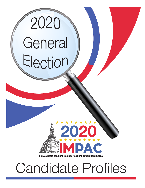

Candidate Profiles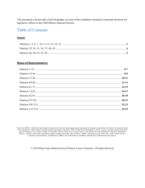This document will provide a brief biography on each of the candidates running in contested elections for legislative offices in the 2020 Illinois General Election.

## Table of Contents

## **Senate**

## **House of Representatives**

Paid for by IMPAC. The Illinois State Medical Society will not favor or disadvantage anyone based upon the amounts of contributions or failure of a member to make PAC contributions. IMPAC reports are filed with the State Board of Elections, 1020 S. Spring Street, Springfield, IL 62704. A copy of our report filed with the State Board of Elections is (or will be) available on the Boar Illinois. Voluntary membership contributions support candidates for public office in Illinois. IMPAC contributions can be made with a credit or debit card, or a corporate or personal check. Contributions to IMPAC are not deductible as charitable contributions for federal income tax purposes.

© 2020 Illinois State Medical Society Political Action Committee. All Rights Reserved.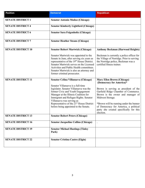| <b>Position</b>           | <b>Democrat</b>                                                                                                                                                                                                                                                                                                                                                          | <b>Republican</b>                                                                                                                                                                                                                                                                                                                                 |
|---------------------------|--------------------------------------------------------------------------------------------------------------------------------------------------------------------------------------------------------------------------------------------------------------------------------------------------------------------------------------------------------------------------|---------------------------------------------------------------------------------------------------------------------------------------------------------------------------------------------------------------------------------------------------------------------------------------------------------------------------------------------------|
| <b>SENATE DISTRICT 1</b>  | <b>Senator Antonio Muñoz (Chicago)</b>                                                                                                                                                                                                                                                                                                                                   |                                                                                                                                                                                                                                                                                                                                                   |
| <b>SENATE DISTRICT 4</b>  | <b>Senator Kimberly Lightford (Chicago)</b>                                                                                                                                                                                                                                                                                                                              |                                                                                                                                                                                                                                                                                                                                                   |
| <b>SENATE DISTRICT 6</b>  | Senator Sara Feigenholtz (Chicago)                                                                                                                                                                                                                                                                                                                                       |                                                                                                                                                                                                                                                                                                                                                   |
| <b>SENATE DISTRICT 7</b>  | <b>Senator Heather Steans (Chicago)</b>                                                                                                                                                                                                                                                                                                                                  |                                                                                                                                                                                                                                                                                                                                                   |
| <b>SENATE DISTRICT 10</b> | <b>Senator Robert Martwick (Chicago)</b>                                                                                                                                                                                                                                                                                                                                 | <b>Anthony Beckman (Harwood Heights)</b>                                                                                                                                                                                                                                                                                                          |
|                           | Senator Martwick was appointed to the<br>Senate in June, after serving six years as<br>representative of the 19 <sup>th</sup> House District.<br>Senator Martwick serves on the Licensed<br>Activities and Public Health committees.<br>Senator Martwick is also an attorney and<br>former criminal prosecutor.                                                          | Beckman is currently a police officer for<br>the Village of Norridge. Prior to serving<br>the Norridge police, Beckman was a<br>certified fitness trainer.                                                                                                                                                                                        |
| <b>SENATE DISTRICT 11</b> | Senator Celina Villanueva (Chicago)<br>Senator Villanueva is a full-time<br>legislator. Senator Villanueva was the<br>former Civic and Youth Engagement<br>Manager at the Illinois Coalition for<br>Immigrant and Refugee Rights. Senator<br>Villanueva was serving as<br>Representative of the 21 <sup>st</sup> House District<br>before being appointed to the Senate. | <b>Mary Ellen Brown (Chicago)</b><br>(Democracy for America)*<br>Brown is serving as president of the<br>Garfield Ridge Chamber of Commerce.<br>Brown is the owner and manager of<br>Midwest Storage.<br>*Brown will be running under the banner<br>of Democracy for America, a political<br>party she created specifically for this<br>election. |
| <b>SENATE DISTRICT 13</b> | <b>Senator Robert Peters (Chicago)</b>                                                                                                                                                                                                                                                                                                                                   |                                                                                                                                                                                                                                                                                                                                                   |
| <b>SENATE DISTRICT 16</b> | <b>Senator Jacqueline Collins (Chicago)</b>                                                                                                                                                                                                                                                                                                                              |                                                                                                                                                                                                                                                                                                                                                   |
| <b>SENATE DISTRICT 19</b> | <b>Senator Michael Hastings (Tinley</b><br>Park)                                                                                                                                                                                                                                                                                                                         |                                                                                                                                                                                                                                                                                                                                                   |
| <b>SENATE DISTRICT 22</b> | <b>Senator Cristina Castro (Elgin)</b>                                                                                                                                                                                                                                                                                                                                   |                                                                                                                                                                                                                                                                                                                                                   |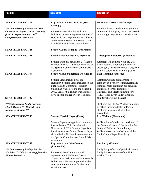| <b>Position</b>                                                       | <b>Democrat</b>                                                                    | <b>Republican</b>                           |
|-----------------------------------------------------------------------|------------------------------------------------------------------------------------|---------------------------------------------|
|                                                                       |                                                                                    |                                             |
|                                                                       |                                                                                    |                                             |
| <b>SENATE DISTRICT 25</b>                                             | <b>Representative Karina Villa (West</b>                                           | <b>Jeannette Ward (West Chicago)</b>        |
|                                                                       | Chicago)                                                                           |                                             |
| *** Seat currently held by Sen. Jim                                   |                                                                                    | Ward works as a product manager for an      |
| Oberweis (R-Sugar Grove) - running                                    | Representative Villa is a full-time                                                | international company. Ward has served      |
| for U.S. Representative $-14$ <sup>th</sup>                           | legislator, currently representing the 49 <sup>th</sup>                            | on the Elgin Area School District U46.      |
| <b>Congressional District***</b>                                      | House District. Representative Villa sits<br>on the Mental Health and Health Care  |                                             |
|                                                                       | Availability and Access committees.                                                |                                             |
|                                                                       |                                                                                    |                                             |
| <b>SENATE DISTRICT 28</b>                                             | <b>Senator Laura Murphy (Des Plaines)</b>                                          |                                             |
|                                                                       |                                                                                    |                                             |
| <b>SENATE DISTRICT 31</b>                                             | Senator Melinda Bush (Grayslake)                                                   | <b>Christopher Kasperski (Lidenhurst)</b>   |
|                                                                       | Senator Bush has served the 31 <sup>st</sup> Senate                                | Kasperski is a combat-wounded U.S.          |
|                                                                       | District since 2013. Senator Bush sits on                                          | Army veteran. After being medically         |
|                                                                       | the Special Committee on Opioid Crisis                                             | discharged, Kasperski earned a degree in    |
|                                                                       | Abatement.                                                                         | political science and criminal justice.     |
| <b>SENATE DISTRICT 34</b>                                             | <b>Senator Steve Stadelman (Rockford)</b>                                          | Paul Hofmann (Roscoe)                       |
|                                                                       |                                                                                    |                                             |
|                                                                       | Senator Stadelman is a full-time                                                   | Hofmann worked at an aerospace              |
|                                                                       | legislator. Senator Stadelman sits on the                                          | company in a variety of managerial and      |
|                                                                       | Public Health Committee. Senator                                                   | technical roles. Hofmann has served as      |
|                                                                       | Stadelman was elected to the Senate in                                             | chairperson for the Institute of            |
|                                                                       | 2012. Senator Stadelman was a former                                               | <b>Electronic and Electrical Engineers</b>  |
|                                                                       | news anchor and reporter in Rockford.                                              | (IEEE) Rock River Valley Chapter.           |
| <b>SENATE DISTRICT 37</b>                                             |                                                                                    | <b>Win Stroller (East Peoria)</b>           |
| *** Seat currently held by Senator                                    |                                                                                    | Stroller is the CEO of Widmer Interiors,    |
| Chuck Weaver (R- Peoria) – not                                        |                                                                                    | an office furniture dealer in Peoria.       |
| seeking re-election***                                                |                                                                                    | Stroller is also a certified public         |
|                                                                       |                                                                                    | accountant.                                 |
| <b>SENATE DISTRICT 40</b>                                             | <b>Senator Patrick Joyce (Essex)</b>                                               | <b>Eric Wallace (Flossmoor)</b>             |
|                                                                       |                                                                                    |                                             |
|                                                                       | Senator Joyce was appointed to replace                                             | Wallace is co-founder and president of      |
|                                                                       | former Senator Toi Hutchinson in                                                   | the Freedom's Journal Institute for the     |
|                                                                       | November of 2019. Senator Joyce is a                                               | Study of Faith and Public Policy.           |
|                                                                       | fourth generation farmer. Senator Joyce                                            | Wallace serves as co-chairman of the        |
|                                                                       | sits on the Public Health committee and                                            | Cook County Republican Party.               |
|                                                                       | the Special Committee on Opioid Crisis                                             |                                             |
|                                                                       | Abatement.                                                                         |                                             |
| <b>SENATE DISTRICT 43</b>                                             | <b>Representative John Connor</b>                                                  | <b>Ben Bierly (Elwood)</b>                  |
|                                                                       | (Romeoville)                                                                       |                                             |
| ***Seat currently held by Sen. Pat                                    |                                                                                    | Bierly is a professor of political science. |
| $McGuire (D-Joliet) - retiring from the$<br><b>Illinois Senate***</b> | Representative Connor currently                                                    | Bierly is also a veteran of the U.S.        |
|                                                                       | represents the 85th House District.<br>Connor is an assistant state's attorney for | Marine Corps.                               |
|                                                                       | Will County. He was appointed as the                                               |                                             |
|                                                                       | new state representative for the 85th                                              |                                             |
|                                                                       | District in 2017.                                                                  |                                             |
|                                                                       |                                                                                    |                                             |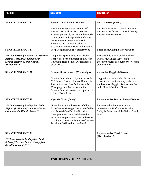| <b>Position</b>                                                                                                                     | <b>Democrat</b>                                                                                                                                                                                                                                                                                              | <b>Republican</b>                                                                                                                                              |
|-------------------------------------------------------------------------------------------------------------------------------------|--------------------------------------------------------------------------------------------------------------------------------------------------------------------------------------------------------------------------------------------------------------------------------------------------------------|----------------------------------------------------------------------------------------------------------------------------------------------------------------|
|                                                                                                                                     |                                                                                                                                                                                                                                                                                                              |                                                                                                                                                                |
| <b>SENATE DISTRICT 46</b>                                                                                                           | <b>Senator Dave Koehler (Peoria)</b>                                                                                                                                                                                                                                                                         | <b>Mary Burress (Pekin)</b>                                                                                                                                    |
|                                                                                                                                     | Senator Koehler has served the 46 <sup>th</sup><br>Senate District since 2006. Senator<br>Koehler previously served on the Peoria<br>City Council and as president of Labor<br>Management Cooperative Health<br>Programs Inc. Senator Koehler is<br>Assistant Majority Leader in the Senate.                 | Burress is Tazewell County's treasurer.<br>Burress is the former Tazewell County<br>Republican chairwoman.                                                     |
| <b>SENATE DISTRICT 49</b>                                                                                                           | <b>Meg Loughran Cappel (Shorewood)</b>                                                                                                                                                                                                                                                                       | <b>Thomas McCullagh (Shorewood)</b>                                                                                                                            |
| *** Seat currently held by Sen. Jennifer<br>Bertino-Tarrant (D-Shorewood) -<br>seeking election as Will County<br>Executive***      | Cappel is a special education teacher.<br>Cappel has been a member of the Joliet<br>Township High School District Board<br>since 2017                                                                                                                                                                        | McCullagh is a local small-business<br>owner. McCullagh serves on the<br>executive boards of a number of veteran<br>organizations.                             |
| <b>SENATE DISTRICT 52</b>                                                                                                           | <b>Senator Scott Bennett (Champaign)</b>                                                                                                                                                                                                                                                                     | <b>Alexander Ruggieri (Savoy)</b>                                                                                                                              |
|                                                                                                                                     | Senator Bennett currently represents the<br>52 <sup>nd</sup> Senate District. Senator Bennett is a<br>former Assistant State's Attorney for<br>Champaign and McLean counties.<br>Senator Bennett also serves as president<br>of the Urbana Rotary.                                                           | Ruggieri is a lawyer who focuses on<br>transactional law involving real estate<br>and business. Ruggieri is also an officer<br>in the Illinois National Guard. |
| <b>SENATE DISTRICT 55</b>                                                                                                           | <b>Cynthia Given (Olney)</b>                                                                                                                                                                                                                                                                                 | <b>Representative Darren Bailey (Xenia)</b>                                                                                                                    |
| *** Seat currently held by Sen. Dale<br>Righter (R-Mattoon) – not seeking re-<br>election to the Illinois Senate***                 | Given is currently the owner of Olney<br>Skin Care & Massage. She is certified by<br>the National Certification Board for<br>Therapeutic Massage and licensed to<br>perform therapeutic massage in the state<br>of Illinois. Given ran for the 109 <sup>th</sup> House<br>District in 2018 and was defeated. | Representative Bailey currently<br>represents the 109 <sup>th</sup> House District.<br>Bailey is the owner of the Bailey Family<br>Farm.                       |
| <b>SENATE DISTRICT 58</b><br>***Seat currently held by Sen. Paul<br>$Schimpf(R-Waterloo) - retiring from$<br>the Illinois Senate*** |                                                                                                                                                                                                                                                                                                              | <b>Representative Terri Bryant</b><br>(Murphysboro)                                                                                                            |
|                                                                                                                                     | <b>END OF SENATE CANDIDATES</b>                                                                                                                                                                                                                                                                              |                                                                                                                                                                |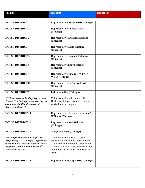**Position Republican Republican Democrat Republican Republican** 

| <b>HOUSE DISTRICT 1</b>                                                                                                                                                                          | <b>Representative Aaron Ortiz (Chicago)</b>                                                                                                                                                                     |  |
|--------------------------------------------------------------------------------------------------------------------------------------------------------------------------------------------------|-----------------------------------------------------------------------------------------------------------------------------------------------------------------------------------------------------------------|--|
| <b>HOUSE DISTRICT 2</b>                                                                                                                                                                          | <b>Representative Theresa Mah</b><br>(Chicago)                                                                                                                                                                  |  |
| <b>HOUSE DISTRICT 3</b>                                                                                                                                                                          | Representative Eva Dina Delgado<br>(Chicago)                                                                                                                                                                    |  |
| <b>HOUSE DISTRICT 4</b>                                                                                                                                                                          | <b>Representative Delia Ramirez</b><br>(Chicago)                                                                                                                                                                |  |
| <b>HOUSE DISTRICT 5</b>                                                                                                                                                                          | <b>Representative Lamont Robinson</b><br>(Chicago)                                                                                                                                                              |  |
| <b>HOUSE DISTRICT 6</b>                                                                                                                                                                          | <b>Representative Sonya Harper</b><br>(Chicago)                                                                                                                                                                 |  |
| <b>HOUSE DISTRICT 7</b>                                                                                                                                                                          | <b>Representative Emanuel "Chris"</b><br>Welch (Hillside)                                                                                                                                                       |  |
| <b>HOUSE DISTRICT 8</b>                                                                                                                                                                          | <b>Representative La Shawn Ford</b><br>(Chicago)                                                                                                                                                                |  |
| <b>HOUSE DISTRICT 9</b>                                                                                                                                                                          | Lakesia Collins (Chicago)                                                                                                                                                                                       |  |
| ***Seat currently held by Rep. Arthur<br>Turner (D - Chicago) - not seeking re-<br>election to the Illinois House of<br>Representatives***                                                       | Collins is leader in her union, SEIU<br>Healthcare Illinois. Collins formerly<br>worked in a nursing home.                                                                                                      |  |
| <b>HOUSE DISTRICT 10</b>                                                                                                                                                                         | Representative Jawaharial "Omar"<br><b>Williams (Chicago)</b>                                                                                                                                                   |  |
| <b>HOUSE DISTRICT 11</b>                                                                                                                                                                         | <b>Representative Ann Williams</b><br>(Chicago)                                                                                                                                                                 |  |
| <b>HOUSE DISTRICT 12</b>                                                                                                                                                                         | <b>Margaret Croke (Chicago)</b>                                                                                                                                                                                 |  |
| ***Seat previous held by Rep. Sara<br>Feigenholtz (D - Chicago) - appointed<br>to the Illinois Senate to replace Senate<br>President John Cullerton in the 6 <sup>th</sup><br>Senate District*** | Croke is currently head of special<br>projects for the Illinois Department of<br>Commerce and Economic Opportunity.<br>Croke was also an outreach director for<br>Governor J.B. Pritzker's campaign in<br>2018. |  |
| <b>HOUSE DISTRICT 13</b>                                                                                                                                                                         | <b>Representative Greg Harris (Chicago)</b>                                                                                                                                                                     |  |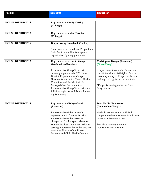| <b>Position</b>          | <b>Democrat</b>                                                                                                                                                                                                                                                                                                                       | <b>Republican</b>                                                                                                                                                                                                             |
|--------------------------|---------------------------------------------------------------------------------------------------------------------------------------------------------------------------------------------------------------------------------------------------------------------------------------------------------------------------------------|-------------------------------------------------------------------------------------------------------------------------------------------------------------------------------------------------------------------------------|
|                          |                                                                                                                                                                                                                                                                                                                                       |                                                                                                                                                                                                                               |
| <b>HOUSE DISTRICT 14</b> | <b>Representative Kelly Cassidy</b><br>(Chicago)                                                                                                                                                                                                                                                                                      |                                                                                                                                                                                                                               |
| <b>HOUSE DISTRICT 15</b> | <b>Representative John D'Amico</b><br>(Chicago)                                                                                                                                                                                                                                                                                       |                                                                                                                                                                                                                               |
| <b>HOUSE DISTRICT 16</b> | <b>Denyse Wang Stoneback (Skokie)</b>                                                                                                                                                                                                                                                                                                 |                                                                                                                                                                                                                               |
|                          | Stoneback is the founder of People for a<br>Safer Society, an Illinois nonprofit<br>organization fighting gun violence.                                                                                                                                                                                                               |                                                                                                                                                                                                                               |
| <b>HOUSE DISTRICT 17</b> | <b>Representative Jennifer Gong-</b><br><b>Gershowitz (Glenview)</b>                                                                                                                                                                                                                                                                  | <b>Christopher Kruger (Evanston)</b><br>(Green Party)*                                                                                                                                                                        |
|                          | Representative Gong-Gershowitz<br>currently represents the 17 <sup>th</sup> House<br>District. Representative Gong-<br>Gershowitz sits on the Mental Health<br>Committee and the Medicaid &<br>Managed Care Subcommittee.<br>Representative Gong-Gershowitz is a<br>full-time legislator and former human<br>rights attorney.         | Kruger is an attorney who focuses on<br>constitutional and civil rights. Prior to<br>becoming a lawyer, Kruger has been a<br>lifelong civil rights and labor activist.<br>*Kruger is running under the Green<br>Party banner. |
| <b>HOUSE DISTRICT 18</b> | <b>Representative Robyn Gabel</b>                                                                                                                                                                                                                                                                                                     | <b>Sean Matlis (Evanston)</b>                                                                                                                                                                                                 |
|                          | (Evanston)<br>Representative Gabel currently<br>represents the 18 <sup>th</sup> House District.<br>Representative Gabel serves as<br>chairperson for the Appropriations-<br>Human Services Committee. Prior to<br>serving, Representative Gabel was the<br>executive director of the Illinois<br>Maternal and Child Health Coalition. | (Independent Party)*<br>Matlis is a scientist with a Ph.D. in<br>computational neuroscience. Matlis also<br>works as a freelance writer.<br>*Matlis is running under the<br>Independent Party banner.                         |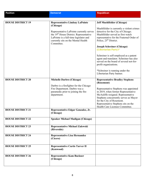| <b>Position</b>          | <b>Democrat</b>                                                                                                                                                                                                                                       | <b>Republican</b>                                                                                                                                                                                                                                                                                                                                                                                                                                                                                                                   |
|--------------------------|-------------------------------------------------------------------------------------------------------------------------------------------------------------------------------------------------------------------------------------------------------|-------------------------------------------------------------------------------------------------------------------------------------------------------------------------------------------------------------------------------------------------------------------------------------------------------------------------------------------------------------------------------------------------------------------------------------------------------------------------------------------------------------------------------------|
|                          |                                                                                                                                                                                                                                                       |                                                                                                                                                                                                                                                                                                                                                                                                                                                                                                                                     |
| <b>HOUSE DISTRICT 19</b> | <b>Representative Lindsay LaPointe</b><br>(Chicago)<br>Representative LaPointe currently serves<br>the 19 <sup>th</sup> House District. Representative<br>LaPointe is a full-time legislator and<br>currently sits on the Mental Health<br>Committee. | <b>Jeff Muehlfelder (Chicago)</b><br>Muehlfelder is currently a violent crimes<br>detective for the City of Chicago.<br>Muehlfelder served as first watch<br>representative for the Fraternal Order of<br>Police, 25 <sup>th</sup> District.<br><b>Joseph Schreiner (Chicago)</b><br>(Libertarian Party)*<br>Schreiner is self-employed as a patent<br>agent and translator. Schreiner has also<br>served on the board of several not-for-<br>profit organizations.<br>*Schreiner is running under the<br>Libertarian Party banner. |
| <b>HOUSE DISTRICT 20</b> | <b>Michelle Darbro (Chicago)</b><br>Darbro is a firefighter for the Chicago<br>Fire Department. Darbro was a<br>paramedic prior to joining the fire<br>department.                                                                                    | <b>Representative Bradley Stephens</b><br>(Rosemont)<br>Representative Stephens was appointed<br>in 2019, when former Representative<br>McAuliffe resigned. Representative<br>Stephens concurrently serves as Mayor<br>for the City of Rosemont.<br>Representative Stephens sits on the<br>Health Care Licenses Committee.                                                                                                                                                                                                          |
| <b>HOUSE DISTRICT 21</b> | Representative Edgar Gonzalez, Jr.<br>(Chicago)                                                                                                                                                                                                       |                                                                                                                                                                                                                                                                                                                                                                                                                                                                                                                                     |
| <b>HOUSE DISTRICT 22</b> | <b>Speaker Michael Madigan (Chicago)</b>                                                                                                                                                                                                              |                                                                                                                                                                                                                                                                                                                                                                                                                                                                                                                                     |
| <b>HOUSE DISTRICT 23</b> | <b>Representative Michael Zalewski</b><br>(Riverside)                                                                                                                                                                                                 |                                                                                                                                                                                                                                                                                                                                                                                                                                                                                                                                     |
| <b>HOUSE DISTRICT 24</b> | <b>Representative Lisa Hernandez</b><br>(Cicero)                                                                                                                                                                                                      |                                                                                                                                                                                                                                                                                                                                                                                                                                                                                                                                     |
| <b>HOUSE DISTRICT 25</b> | <b>Representative Curtis Tarver II</b><br>(Kenwood)                                                                                                                                                                                                   |                                                                                                                                                                                                                                                                                                                                                                                                                                                                                                                                     |
| <b>HOUSE DISTRICT 26</b> | <b>Representative Kam Buckner</b><br>(Chicago)                                                                                                                                                                                                        |                                                                                                                                                                                                                                                                                                                                                                                                                                                                                                                                     |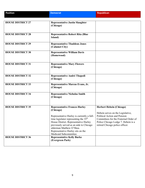| <b>Position</b>                                      | <b>Democrat</b>                                                                                                                                                                                                                                                                                                                     | <b>Republican</b>                                                                                                                                                                                                       |
|------------------------------------------------------|-------------------------------------------------------------------------------------------------------------------------------------------------------------------------------------------------------------------------------------------------------------------------------------------------------------------------------------|-------------------------------------------------------------------------------------------------------------------------------------------------------------------------------------------------------------------------|
|                                                      |                                                                                                                                                                                                                                                                                                                                     |                                                                                                                                                                                                                         |
| <b>HOUSE DISTRICT 27</b>                             | <b>Representative Justin Slaughter</b><br>(Chicago)                                                                                                                                                                                                                                                                                 |                                                                                                                                                                                                                         |
| <b>HOUSE DISTRICT 28</b>                             | <b>Representative Robert Rita (Blue</b><br>Island)                                                                                                                                                                                                                                                                                  |                                                                                                                                                                                                                         |
| <b>HOUSE DISTRICT 29</b>                             | <b>Representative Thaddeus Jones</b><br>(Calumet City)                                                                                                                                                                                                                                                                              |                                                                                                                                                                                                                         |
| <b>HOUSE DISTRICT 30</b>                             | <b>Representative William Davis</b><br>(Homewood)                                                                                                                                                                                                                                                                                   |                                                                                                                                                                                                                         |
| <b>HOUSE DISTRICT 31</b>                             | <b>Representative Mary Flowers</b><br>(Chicago)                                                                                                                                                                                                                                                                                     |                                                                                                                                                                                                                         |
| <b>HOUSE DISTRICT 32</b>                             | Representative André Thapedi<br>(Chicago)                                                                                                                                                                                                                                                                                           |                                                                                                                                                                                                                         |
| <b>HOUSE DISTRICT 33</b>                             | Representative Marcus Evans, Jr.<br>(Chicago)                                                                                                                                                                                                                                                                                       |                                                                                                                                                                                                                         |
| <b>HOUSE DISTRICT 34</b>                             | <b>Representative Nicholas Smith</b><br>(Chicago)                                                                                                                                                                                                                                                                                   |                                                                                                                                                                                                                         |
| <b>HOUSE DISTRICT 35</b><br><b>HOUSE DISTRICT 36</b> | <b>Representative Frances Hurley</b><br>(Chicago)<br>Representative Hurley is currently a full-<br>time legislator representing the 35 <sup>th</sup><br>House District. Representative Hurley<br>previously served as an aide to Chicago<br>alderman Matthew O'Shea.<br>Representative Hurley sits on the<br>Medicaid Subcommittee. | <b>Herbert Hebein (Chicago)</b><br>Hebein serves on the Legislative,<br>Political Action and Pension<br>Committees for the Fraternal Order of<br>Police Chicago Lodge 7. Hebein is a<br>retired Chicago police officer. |
|                                                      | <b>Representative Kelly Burke</b><br>(Evergreen Park)                                                                                                                                                                                                                                                                               |                                                                                                                                                                                                                         |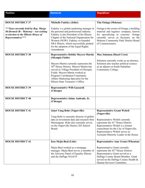| <b>Position</b>                                                                                                          | <b>Democrat</b>                                                                                                                                                                                                                                                                          | <b>Republican</b>                                                                                                                                                                                                                                               |
|--------------------------------------------------------------------------------------------------------------------------|------------------------------------------------------------------------------------------------------------------------------------------------------------------------------------------------------------------------------------------------------------------------------------------|-----------------------------------------------------------------------------------------------------------------------------------------------------------------------------------------------------------------------------------------------------------------|
|                                                                                                                          |                                                                                                                                                                                                                                                                                          |                                                                                                                                                                                                                                                                 |
| <b>HOUSE DISTRICT 37</b>                                                                                                 | <b>Michelle Fadeley (Joliet)</b>                                                                                                                                                                                                                                                         | <b>Tim Ozinga (Mokena)</b>                                                                                                                                                                                                                                      |
|                                                                                                                          |                                                                                                                                                                                                                                                                                          |                                                                                                                                                                                                                                                                 |
| ***Seat currently held by Rep. Margo<br>$McDermed$ ( $R$ - Mokena) – not seeking<br>re-election to the Illinois House of | Fadeley is a global marketing manager in<br>the personal and professional industry.<br>Fadeley is also President of the Illinois                                                                                                                                                         | Ozinga is the owner of Ozinga, a building<br>material and logistics company, known<br>for specializing in concrete. Ozinga                                                                                                                                      |
| Representatives***                                                                                                       | Chapter of the National Organization for<br>Women (NOW). Fadeley co-founded<br>ERA Illinois, which successfully pushed<br>for the adoption of the Equal Rights<br>Amendment.                                                                                                             | currently serves as Secretary on the<br>Mokena Community Park District Board<br>of Commissioners.                                                                                                                                                               |
| <b>HOUSE DISTRICT 38</b>                                                                                                 | <b>Representative Debbie Meyers-Martin</b><br>(Olympia Fields)                                                                                                                                                                                                                           | <b>Max Solomon (Hazel Crest)</b>                                                                                                                                                                                                                                |
|                                                                                                                          | Meyers-Martin currently represents the<br>38 <sup>th</sup> House District. Meyers-Martin has<br>served as Village President of Olympia<br>Fields. Meyers-Martin worked as<br>Program Coordinator/Community<br>Affairs Marketing Specialist for the<br>Illinois State Treasurer's Office. | Solomon currently works as an attorney.<br>Solomon also teaches political science<br>as an adjunct at South Suburban<br>Community College.                                                                                                                      |
| <b>HOUSE DISTRICT 39</b>                                                                                                 | Representative Will Guzzardi<br>(Chicago)                                                                                                                                                                                                                                                |                                                                                                                                                                                                                                                                 |
| <b>HOUSE DISTRICT 40</b>                                                                                                 | Representative Jaime Andrade, Jr.<br>(Chicago)                                                                                                                                                                                                                                           |                                                                                                                                                                                                                                                                 |
| <b>HOUSE DISTRICT 41</b>                                                                                                 | <b>Janet Yang Rohr (Naperville)</b>                                                                                                                                                                                                                                                      | <b>Representative Grant Wehrli</b>                                                                                                                                                                                                                              |
|                                                                                                                          | Yang Rohr is currently director of global<br>data at investment data and research firm<br>Morningstar. Rohr also currently serves<br>on the Naperville District 203 School<br>Board.                                                                                                     | (Naperville)<br>Representative Wehrli currently<br>represents the 41 <sup>st</sup> House District.<br>Representative Wehrli is a former<br>councilman for the City of Naperville.<br>Representative Wehrli serves as<br>Assistant Minority Leader in the House. |
| <b>HOUSE DISTRICT 42</b>                                                                                                 | <b>Ken Mejia-Beal (Lisle)</b>                                                                                                                                                                                                                                                            | <b>Representative Amy Grant (Wheaton)</b>                                                                                                                                                                                                                       |
|                                                                                                                          | Mejia-Beal worked as a mortgage<br>manager. Mejia-Beal serves a member of<br>the Advisory Panel of Equality Illinois<br>and the DuPage NAACP.                                                                                                                                            | Representative Grant currently<br>represents the 42 <sup>nd</sup> House District.<br>Representative Grant served as a<br>DuPage County Board Member. Grant<br>served on the DuPage County Health &<br>Human Services Committee.                                 |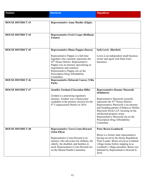| <b>Position</b>          | <b>Democrat</b>                                                                                                                                                                                                                                                                                                                                  | <b>Republican</b>                                                                                                                                                                                                                                                                                                                                                                             |
|--------------------------|--------------------------------------------------------------------------------------------------------------------------------------------------------------------------------------------------------------------------------------------------------------------------------------------------------------------------------------------------|-----------------------------------------------------------------------------------------------------------------------------------------------------------------------------------------------------------------------------------------------------------------------------------------------------------------------------------------------------------------------------------------------|
|                          |                                                                                                                                                                                                                                                                                                                                                  |                                                                                                                                                                                                                                                                                                                                                                                               |
| <b>HOUSE DISTRICT 43</b> | <b>Representative Anna Moeller (Elgin)</b>                                                                                                                                                                                                                                                                                                       |                                                                                                                                                                                                                                                                                                                                                                                               |
| <b>HOUSE DISTRICT 44</b> | <b>Representative Fred Crespo (Hoffman</b><br><b>Estates</b> )                                                                                                                                                                                                                                                                                   |                                                                                                                                                                                                                                                                                                                                                                                               |
| <b>HOUSE DISTRICT 45</b> | <b>Representative Diane Pappas (Itasca)</b><br>Representative Pappas is a full-time<br>legislator who currently represents the<br>45 <sup>th</sup> House District. Representative<br>Pappas was an attorney specializing in<br>negotiations and contracts.<br>Representative Pappas sits on the<br>Prescription Drug Affordability<br>Committee. | <b>Seth Lewis (Bartlett)</b><br>Lewis is an independent small business<br>owner and agent with State Farm<br>Insurance.                                                                                                                                                                                                                                                                       |
| <b>HOUSE DISTRICT 46</b> | <b>Representative Deborah Conroy (Villa</b><br>Park)                                                                                                                                                                                                                                                                                             |                                                                                                                                                                                                                                                                                                                                                                                               |
| <b>HOUSE DISTRICT 47</b> | Jennifer Zordani (Clarendon Hills)<br>Zordani is a practicing regulatory<br>attorney. Zordani was a Democratic<br>candidate in the primary election for the<br>6 <sup>th</sup> Congressional District in 2018.                                                                                                                                   | <b>Representative Deanne Mazzochi</b><br>(Elmhurst)<br>Representative Mazzochi currently<br>represents the 47 <sup>th</sup> House District.<br>Representative Mazzochi is an attorney<br>and founding partner of Rakoczy Molino<br>Mazzochi Siwik LLP, focusing on the<br>intellectual property arena.<br>Representative Mazzochi sits on the<br>Prescription Drug Affordability<br>Committee |
| <b>HOUSE DISTRICT 48</b> | <b>Representative Terra Costa Howard</b><br>(Glen Ellyn)<br>Representative Costa Howard is an<br>attorney who advocates for children, the<br>elderly, the disabled, and families in<br>need. Representative Costa Howard sits<br>on the Mental Health Committee.                                                                                 | <b>Peter Breen (Lombard)</b><br>Breen is a former state representative,<br>having served as the House Republican<br>Floor Leader. Breen served as Lombard<br>village trustee before stepping in as<br>Lombard's village president. Breen was<br>defeated by Representative Howard in<br>2018.                                                                                                 |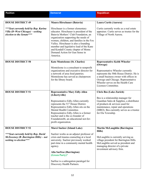| <b>Position</b>                                                                                        | <b>Democrat</b>                                                                                                                                                                                                                                                                                                                                                                   | <b>Republican</b>                                                                                                                                                                                                         |
|--------------------------------------------------------------------------------------------------------|-----------------------------------------------------------------------------------------------------------------------------------------------------------------------------------------------------------------------------------------------------------------------------------------------------------------------------------------------------------------------------------|---------------------------------------------------------------------------------------------------------------------------------------------------------------------------------------------------------------------------|
|                                                                                                        |                                                                                                                                                                                                                                                                                                                                                                                   |                                                                                                                                                                                                                           |
| <b>HOUSE DISTRICT 49</b>                                                                               | Maura Hirschauer (Batavia)                                                                                                                                                                                                                                                                                                                                                        | Laura Curtis (Aurora)                                                                                                                                                                                                     |
| ***Seat currently held by Rep. Karina<br>Villa (D-West Chicago) - seeking<br>election to the Senate*** | Hirschauer is a former elementary<br>educator. Hirschauer is president of the<br>Batavia Mothers' Club Foundation, an<br>organization supporting the needs of<br>women, children, and families in the Fox<br>Valley. Hirschauer is also a founding<br>member and legislative lead of the Kane<br>and Kendall County chapter of Moms<br>Demand Action for Gun Sense in<br>America. | Curtis currently works as a real estate<br>appraiser. Curtis serves as trustee for the<br>Village of North Aurora.                                                                                                        |
| <b>HOUSE DISTRICT 50</b>                                                                               | <b>Kate Monteleone (St. Charles)</b>                                                                                                                                                                                                                                                                                                                                              | <b>Representative Keith Wheeler</b><br>(Oswego)                                                                                                                                                                           |
|                                                                                                        | Monteleone is a consultant to nonprofit<br>organizations and executive director for<br>a network of area food pantries.<br>Monteleone has served as chairperson<br>for the library board.                                                                                                                                                                                         | Representative Wheeler currently<br>represents the 50th House District. He is<br>a small business owner with offices in<br>Oswego and Chicago. Representative<br>Wheeler serves on the Health Care<br>Licenses Committee. |
| <b>HOUSE DISTRICT 51</b>                                                                               | <b>Representative Mary Edly-Allen</b>                                                                                                                                                                                                                                                                                                                                             | <b>Chris Bos (Lake Zurich)</b>                                                                                                                                                                                            |
|                                                                                                        | (Libertyville)<br>Representative Edly-Allen currently<br>represents the 51 <sup>st</sup> House District.<br>Representative Edly-Allen sits on the<br>Mental Health Committee.<br>Representative Edly-Allen is a former<br>teacher and is the co-founder of<br>Foundation46, an educational not-for-<br>profit organization.                                                       | Bos is a relationship manager for<br>Guardian Sales & Supplies, a distributor<br>of products & services used for<br>maintenance, repair and operations<br>(MRO). Bos currently serves as a trustee<br>for Ela Township.   |
| <b>HOUSE DISTRICT 52</b>                                                                               | <b>Marci Suelzer (Island Lake)</b>                                                                                                                                                                                                                                                                                                                                                | <b>Martin McLaughlin (Barrington</b>                                                                                                                                                                                      |
| ***Seat currently held by Rep. David<br>McSweeney (R-Barrington Hills) - not<br>seeking re-election*** | Suelzer works as an adjunct professor of<br>crisis and trauma counseling at a local<br>university. Suelzer previously worked<br>part-time in a community mental health<br>agency.<br>Alia Sarfraz (Barrington)<br>(Green Party)*                                                                                                                                                  | Hills)<br>McLaughlin is currently serving as<br>village president for Barrington Hills.<br>McLaughlin served as president and<br>managing director of a private<br>investment advisory firm.                              |
|                                                                                                        | Sarfraz is a subrogation paralegal for<br>Discovery Health Partners.                                                                                                                                                                                                                                                                                                              |                                                                                                                                                                                                                           |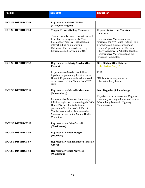| <b>Position</b>          | <b>Democrat</b>                                                                                                                                                                                                                                                              | <b>Republican</b>                                                                                                                                                                                                                                                                            |
|--------------------------|------------------------------------------------------------------------------------------------------------------------------------------------------------------------------------------------------------------------------------------------------------------------------|----------------------------------------------------------------------------------------------------------------------------------------------------------------------------------------------------------------------------------------------------------------------------------------------|
|                          |                                                                                                                                                                                                                                                                              |                                                                                                                                                                                                                                                                                              |
| <b>HOUSE DISTRICT 53</b> | <b>Representative Mark Walker</b><br>(Arlington Heights)                                                                                                                                                                                                                     |                                                                                                                                                                                                                                                                                              |
| <b>HOUSE DISTRICT 54</b> | <b>Maggie Trevor (Rolling Meadows)</b>                                                                                                                                                                                                                                       | <b>Representative Tom Morrison</b><br>(Palatine)                                                                                                                                                                                                                                             |
|                          | Trevor currently owns a market research<br>firm. Trevor was previously Vice<br>President of YouGov Healthcare, an<br>internet public opinion firm in<br>California. Trevor was defeated by<br>Representative Morrison in 2018.                                               | Representative Morrison currently<br>represents the 54 <sup>th</sup> House District. He is<br>a former small business owner and<br>former 5 <sup>th</sup> grade teacher at Christian<br>Liberty Academy in Arlington Heights.<br>Representative Morrison sits on the<br>Insurance Committee. |
| <b>HOUSE DISTRICT 55</b> | <b>Representative Marty Moylan (Des</b><br><b>Plaines</b> )                                                                                                                                                                                                                  | <b>Glen Olofson (Des Plaines)</b> -<br>(Libertarian Party)*                                                                                                                                                                                                                                  |
|                          | Representative Moylan is a full-time<br>legislator, representing the 55th House<br>District. Representative Moylan served<br>as the mayor of Des Plaines from 2009-<br>2012.                                                                                                 | <b>TBD</b><br>*Olofson is running under the<br>Libertarian Party banner.                                                                                                                                                                                                                     |
| <b>HOUSE DISTRICT 56</b> | <b>Representative Michelle Mussman</b>                                                                                                                                                                                                                                       | <b>Scott Kegarise (Schaumburg)</b>                                                                                                                                                                                                                                                           |
|                          | (Schaumburg)<br>Representative Mussman is currently a<br>full-time legislator, representing the 56th<br>House District. She is the former<br>president of the Enders-Salk Parent<br>Teacher Association. Representative<br>Mussman serves on the Mental Health<br>Committee. | Kegarise is a business owner. Kegarise<br>is currently serving in his second term as<br>Schaumburg Township Highway<br>Commissioner.                                                                                                                                                         |
| <b>HOUSE DISTRICT 57</b> | <b>Representative John Carroll</b><br>(Northbrook)                                                                                                                                                                                                                           |                                                                                                                                                                                                                                                                                              |
| <b>HOUSE DISTRICT 58</b> | <b>Representative Bob Morgan</b><br>(Deerfield)                                                                                                                                                                                                                              |                                                                                                                                                                                                                                                                                              |
| <b>HOUSE DISTRICT 59</b> | <b>Representative Daniel Didech (Buffalo</b><br>Grove)                                                                                                                                                                                                                       |                                                                                                                                                                                                                                                                                              |
| <b>HOUSE DISTRICT 60</b> | <b>Representative Rita Mayfield</b><br>(Waukegan)                                                                                                                                                                                                                            |                                                                                                                                                                                                                                                                                              |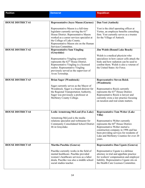| <b>Position</b>          | <b>Democrat</b>                                                                                                                                                                                                                                                     | <b>Republican</b>                                                                                                                                                                                                                                                                                             |
|--------------------------|---------------------------------------------------------------------------------------------------------------------------------------------------------------------------------------------------------------------------------------------------------------------|---------------------------------------------------------------------------------------------------------------------------------------------------------------------------------------------------------------------------------------------------------------------------------------------------------------|
|                          |                                                                                                                                                                                                                                                                     |                                                                                                                                                                                                                                                                                                               |
| <b>HOUSE DISTRICT 61</b> | <b>Representative Joyce Mason (Gurnee)</b>                                                                                                                                                                                                                          | Dan Yost (Antioch)                                                                                                                                                                                                                                                                                            |
|                          | Representative Mason is a full-time<br>legislator currently serving the $61st$<br>House District. Representative Mason<br>worked as a career services specialist at<br>the College of Lake County.<br>Representative Mason sits on the Human<br>Services Committee. | Yost is the chief operating officer at<br>Vertus, an employee benefits consulting<br>firm. Yost currently serves as a trustee<br>for the Village of Antioch.                                                                                                                                                  |
| <b>HOUSE DISTRICT 62</b> | <b>Representative Sam Yingling</b>                                                                                                                                                                                                                                  | <b>Jim Walsh (Round Lake Beach)</b>                                                                                                                                                                                                                                                                           |
|                          | (Grayslake)<br>Representative Yingling currently<br>represents the $62nd$ House District.<br>Representative Yingling is a licensed<br>realtor. Representative Yingling<br>previously served as the supervisor of<br>Avon Township.                                  | Walsh is a medical physicist who<br>specializes in how cancer cells attack the<br>body and how radiation can be used to<br>combat them. Walsh is also a veteran of<br>the United States Air Force.                                                                                                            |
| <b>HOUSE DISTRICT 63</b> | <b>Brian Sager (Woodstock)</b>                                                                                                                                                                                                                                      | <b>Representative Steven Reick</b><br>(Woodstock)                                                                                                                                                                                                                                                             |
|                          | Sager currently serves as the Mayor of<br>Woodstock. Sager is a board director for<br>the Regional Transportation Authority.<br>Sager was previously a professor at<br>McHenry County College.                                                                      | Representative Reick currently<br>represents the 63 <sup>rd</sup> House District.<br>Representative Reick is lawyer and<br>currently owns a law practice focusing<br>on taxation and real estate matters.                                                                                                     |
| <b>HOUSE DISTRICT 64</b> | Leslie Armstrong-McLeod (Fox Lake)<br>Armstrong-McLeod is the media<br>relations specialist and webmaster for<br><b>Community Consolidated School District</b><br>46 in Grayslake.                                                                                  | <b>Representative Tom Weber (Lake</b><br>Villa)<br>Representative Weber currently<br>represents the 64 <sup>th</sup> House District.<br>Representative Weber started a<br>construction company in 1996 and has<br>been providing services for residents of<br>Lake and McHenry Counties for over 20<br>years. |
| <b>HOUSE DISTRICT 65</b> | <b>Martha Paschke (Geneva)</b>                                                                                                                                                                                                                                      | <b>Representative Dan Ugaste (Geneva)</b>                                                                                                                                                                                                                                                                     |
|                          | Paschke currently works in the field of<br>mental healthcare. Paschke provided<br>women's healthcare services as a labor<br>doula. Paschke was also a middle school<br>social studies teacher.                                                                      | Representative Ugaste is a defense<br>attorney in trial and appellate practice<br>for workers' compensation and employer<br>liability. Representative Ugaste sits on<br>the Health Care Licenses Committee.                                                                                                   |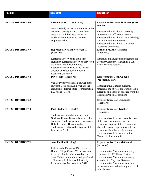| <b>Position</b>          | <b>Democrat</b>                                                                                                                                                                                                                                                           | <b>Republican</b>                                                                                                                                                                                                                                                                                                  |
|--------------------------|---------------------------------------------------------------------------------------------------------------------------------------------------------------------------------------------------------------------------------------------------------------------------|--------------------------------------------------------------------------------------------------------------------------------------------------------------------------------------------------------------------------------------------------------------------------------------------------------------------|
| <b>HOUSE DISTRICT 66</b> | <b>Suzanne Ness (Crystal Lake)</b><br>Ness currently serves as a member of the<br>McHenry County Board of Trustees.<br>Ness is a small business owner who<br>works with companies to develop<br>employee skills.                                                          | <b>Representative Allen Skillicorn (East</b><br>Dundee)<br>Representative Skillicorn currently<br>represents the 66 <sup>th</sup> House District.<br>Representative Skillicorn is a marketing<br>consultant and entrepreneur.<br>Representative Skillicorn sits on the                                             |
| <b>HOUSE DISTRICT 67</b> | <b>Representative Maurice West II</b><br>(Rockford)<br>Representative West is a full-time<br>legislator. Representative West serves on<br>the Mental Health Committee.<br>Representative West was the former<br>director of career development at<br>Rockford University. | Insurance Committee.<br>Kathleen "Kathie" Hansen<br>(Rockford)<br>Hansen is a manufacturing engineer for<br>Broaster Company. Hansen is a U.S.<br>Army Reserve veteran.                                                                                                                                            |
| <b>HOUSE DISTRICT 68</b> | Dave Vella (Rockford)<br>Vella currently works as a lawyer at the<br>law firm Vella and Lund. Vella is the<br>grandson of former State Representative<br>E.J. "Zeke" Giorgi.                                                                                              | <b>Representative John Cabello</b><br>(Machesney Park)<br>Representative Cabello currently<br>represents the 68 <sup>th</sup> House District. He is<br>currently on a leave of absence from the<br>Rockford Police Department.                                                                                     |
| <b>HOUSE DISTRICT 69</b> |                                                                                                                                                                                                                                                                           | Representative Joe Sosnowski<br>(Rockford)                                                                                                                                                                                                                                                                         |
| <b>HOUSE DISTRICT 70</b> | <b>Paul Stoddard (DeKalb)</b><br>Stoddard will soon be retiring from<br>Northern Illinois University as a geology<br>professor. Stoddard currently serves as a<br>DeKalb County Board member.<br>Stoddard was defeated by Representative<br>Keicher in 2018.              | <b>Representative Jeff Keicher</b><br>(Sycamore)<br>Representative Keicher currently owns a<br>State Farm insurance agency in<br>Sycamore. Representative Keicher has<br>also held executive positions with the<br>Sycamore Chamber of Commerce.<br>Representative Keicher sits on the<br>Mental Health Committee. |
| <b>HOUSE DISTRICT 71</b> | <b>Joan Padilla (Sterling)</b><br>Padilla is the Executive Director at<br>Home of Hope Cancer Wellness Center<br>in Dixon. She has also served on the<br>Sauk Valley Community College Board<br>of Trustees. Padilla was defeated by<br>Representative McCombie in 2018.  | <b>Representative Tony McCombie</b><br>(Savanna)<br>Representative McCombie currently<br>represents the 71 <sup>st</sup> House District.<br>Representative McCombie formerly<br>served as the Mayor of Savanna.<br>Representative McCombie is a small<br>businesswoman and self-employed real<br>estate broker.    |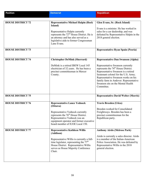| <b>Position</b>          | <b>Democrat</b>                                                                                                                                                                                                                                       | <b>Republican</b>                                                                                                                                                                                                                                                                                                                                    |
|--------------------------|-------------------------------------------------------------------------------------------------------------------------------------------------------------------------------------------------------------------------------------------------------|------------------------------------------------------------------------------------------------------------------------------------------------------------------------------------------------------------------------------------------------------------------------------------------------------------------------------------------------------|
|                          |                                                                                                                                                                                                                                                       |                                                                                                                                                                                                                                                                                                                                                      |
| <b>HOUSE DISTRICT 72</b> | <b>Representative Michael Halpin (Rock</b><br>Island)<br>Representative Halpin currently<br>represents the 72 <sup>nd</sup> House District. He is<br>an attorney and has also served as a<br>legislative aide to former Congressman<br>Lane Evans.    | Glen Evans, Sr. (Rock Island)<br>Evans is a minister. He has worked in<br>sales for a car dealership, and was<br>defeated by Representative Halpin in the<br>2018 general election.                                                                                                                                                                  |
| <b>HOUSE DISTRICT 73</b> |                                                                                                                                                                                                                                                       | <b>Representative Ryan Spain (Peoria)</b>                                                                                                                                                                                                                                                                                                            |
| <b>HOUSE DISTRICT 74</b> | <b>Christopher DeMink (Sherrard)</b><br>DeMink is a retired IBEW Local 145<br>electrician of 32 years. He has been a<br>precinct committeeman in Mercer<br>County.                                                                                    | <b>Representative Dan Swanson (Alpha)</b><br>Representative Swanson currently<br>represents the 74 <sup>th</sup> House District.<br>Representative Swanson is a retired<br>lieutenant colonel for the U.S. Army.<br>Representative Swanson works on his<br>family farm in Andover. Representative<br>Swanson sits on the Mental Health<br>Committee. |
| <b>HOUSE DISTRICT 75</b> |                                                                                                                                                                                                                                                       | <b>Representative David Welter (Morris)</b>                                                                                                                                                                                                                                                                                                          |
| <b>HOUSE DISTRICT 76</b> | <b>Representative Lance Yednock</b><br>(Ottawa)<br>Representative Yednock currently<br>represents the 76 <sup>th</sup> House District.<br>Representative Yednock was an<br>equipment operator and former executive<br>board member of IUOE Local 150. | <b>Travis Breeden (Utica)</b><br>Breeden worked for Consolidated<br>Freightways. Breeden has been a<br>precinct committeeman for the<br>Republican party.                                                                                                                                                                                            |
| <b>HOUSE DISTRICT 77</b> | <b>Representative Kathleen Willis</b><br>(Addison)<br>Representative Willis is currently a full-<br>time legislator, representing the $77th$<br>House District. Representative Willis<br>serves as House Majority Conference<br>Chair.                | <b>Anthony Airdo (Melrose Park)</b><br>Airdo is currently a sales director. Airdo<br>is a member of the Italian-American<br>Police Association. He was defeated by<br>Representative Willis in the 2018<br>general election.                                                                                                                         |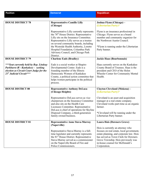| <b>Position</b>                                                                                                                                            | <b>Democrat</b>                                                                                                                                                                                                                                                                                                                                                     | <b>Republican</b>                                                                                                                                                                                                                                            |
|------------------------------------------------------------------------------------------------------------------------------------------------------------|---------------------------------------------------------------------------------------------------------------------------------------------------------------------------------------------------------------------------------------------------------------------------------------------------------------------------------------------------------------------|--------------------------------------------------------------------------------------------------------------------------------------------------------------------------------------------------------------------------------------------------------------|
|                                                                                                                                                            |                                                                                                                                                                                                                                                                                                                                                                     |                                                                                                                                                                                                                                                              |
| <b>HOUSE DISTRICT 78</b>                                                                                                                                   | <b>Representative Camille Lilly</b><br>(Chicago)                                                                                                                                                                                                                                                                                                                    | Joshua Flynn (Chicago) -<br>(Libertarian Party)*                                                                                                                                                                                                             |
|                                                                                                                                                            | Representative Lilly currently represents<br>the 78 <sup>th</sup> House District. Representative<br>Lilly sits on the Insurance Committee.<br>Representative Lilly serves as a trustee<br>on several community boards, including<br>the Westside Health Authority, Loretto<br>Hospital Foundation, Columbus Park<br>Advisory Council, and Chicago Park<br>District. | Flynn is an insurance professional in<br>Chicago. Flynn serves as a board<br>member and community organizer for<br>the Northwest Austin Council.<br>*Flynn is running under the Libertarian<br>Party banner.                                                 |
| <b>HOUSE DISTRICT 79</b>                                                                                                                                   | <b>Charlene Eads (Bradley)</b>                                                                                                                                                                                                                                                                                                                                      | <b>Jackie Haas (Bourbonnais)</b>                                                                                                                                                                                                                             |
| ***Seat currently held by Rep. Lindsay<br><b>Parkhurst (R - Kankakee)</b> – seeking<br>election as Circuit Court Judge for the<br>21st Judicial Circuit*** | Eads is a social worker at Shapiro<br>Developmental Center. Eads is a<br>founding member of the Illinois<br>Democratic Women of Kankakee<br>County, a political action committee that<br>helps women participate in the political<br>process.                                                                                                                       | Haas currently serves on the Kankakee<br>County Board of Trustees. Haas is the<br>president and CEO of the Helen<br>Wheeler Center for Community Mental<br>Health.                                                                                           |
| <b>HOUSE DISTRCT 80</b>                                                                                                                                    | <b>Representative Anthony DeLuca</b><br>(Chicago Heights)                                                                                                                                                                                                                                                                                                           | Clayton Cleveland (Mokena) -<br>(Libertarian Party)*                                                                                                                                                                                                         |
|                                                                                                                                                            | Representative DeLuca serves as vice<br>chairperson on the Insurance Committee<br>and also sits on the Health Care<br>Licensees Committee. Representative<br>DeLuca is chief of operations for Skyline<br>Disposal Company, a third-generation<br>family-owned business.                                                                                            | Cleveland is an asset and acquisition<br>manager at a real estate company.<br>Cleveland works part-time as an organic<br>farmer.<br>*Cleveland will be running under the<br>Libertarian Party banner.                                                        |
| <b>HOUSE DISTRICT 81</b>                                                                                                                                   | <b>Representative Anne Stava-Murray</b>                                                                                                                                                                                                                                                                                                                             | <b>Laura Hois (Downers Grove)</b>                                                                                                                                                                                                                            |
|                                                                                                                                                            | (Naperville)<br>Representative Stava-Murray is a full-<br>time legislator and currently represents<br>the 81 <sup>st</sup> House District. Representative<br>Stava-Murray served as a commissioner<br>on the Naperville Board of Fire and<br>Police Commissioners.                                                                                                  | Hois is currently an attorney who<br>focuses on real estate, local government,<br>estate planning, and corporate law. Hois<br>has served as Town Clerk for Downers<br>Grove Township. Hois previously was<br>in-house counsel for McDonald's<br>Corporation. |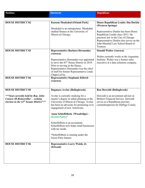| <b>Position</b>                                                                                                        | <b>Democrat</b>                                                                                                                                                                                                                         | <b>Republican</b>                                                                                                                                                       |
|------------------------------------------------------------------------------------------------------------------------|-----------------------------------------------------------------------------------------------------------------------------------------------------------------------------------------------------------------------------------------|-------------------------------------------------------------------------------------------------------------------------------------------------------------------------|
|                                                                                                                        |                                                                                                                                                                                                                                         |                                                                                                                                                                         |
| <b>HOUSE DISTRICT 82</b>                                                                                               | <b>Kassem Moukahal (Orland Park)</b><br>Moukahal is an entrepreneur. Moukahal<br>studied finance at the University of                                                                                                                   | House Republican Leader Jim Durkin<br>(Western Springs)<br>Representative Durkin has been House                                                                         |
|                                                                                                                        | Illinois at Chicago.                                                                                                                                                                                                                    | Republican Leader since 2013. He<br>practices law in the City of Chicago.<br>Representative Durkin also serves on the<br>John Marshall Law School Board of<br>Trustees. |
| <b>HOUSE DISTRICT 83</b>                                                                                               | <b>Representative Barbara Hernandez</b><br>(Aurora)                                                                                                                                                                                     | <b>Donald Walter (Aurora)</b>                                                                                                                                           |
|                                                                                                                        | Representative Hernandez was appointed<br>to serve the 83 <sup>rd</sup> House District in 2019.<br>Prior to serving in the House,<br>Representative Hernandez was the chief<br>of staff for former Representative Linda<br>Chapa LaVia. | Walter currently works at the Augustine<br>Institute. Walter was a former sales<br>executive at a data solutions company.                                               |
| <b>HOUSE DISTRICT 84</b>                                                                                               | <b>Representative Stephanie Kifowit</b><br>(Aurora)                                                                                                                                                                                     |                                                                                                                                                                         |
| <b>HOUSE DISTRICT 85</b>                                                                                               | Dagmara Avelar (Bolingbrook)                                                                                                                                                                                                            | <b>Ron Doweidt (Bolingbrook)</b>                                                                                                                                        |
| ***Seat currently held by Rep. John<br>Connor (D-Romeoville) - seeking<br>election in the $43^{rd}$ Senate District*** | Avelar is currently studying for a<br>master's degree in urban planning at the<br>University of Illinois at Chicago. Avelar<br>has been an advocate for promoting civic<br>engagement of new Americans.                                 | Doweidt is an investment advisor at<br><b>Brokers Financial Service. Doweidt</b><br>serves as a Republican precinct<br>committeeperson for DuPage County.               |
|                                                                                                                        | Anna Schieffelbein (Woodridge) -<br>(Green Party)*                                                                                                                                                                                      |                                                                                                                                                                         |
|                                                                                                                        | Schieffelbein is an accountant.<br>Schieffelbein now helps small businesses<br>with tax needs.                                                                                                                                          |                                                                                                                                                                         |
|                                                                                                                        | *Schieffelbein is running under the<br>Green Party banner.                                                                                                                                                                              |                                                                                                                                                                         |
| <b>HOUSE DISTRICT 86</b>                                                                                               | Representative Larry Walsh, Jr.<br>(Elwood)                                                                                                                                                                                             |                                                                                                                                                                         |
|                                                                                                                        |                                                                                                                                                                                                                                         |                                                                                                                                                                         |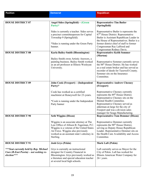| <b>Position</b>                                                                                  | <b>Democrat</b>                                                                                                                                                                                                                  | <b>Republican</b>                                                                                                                                                                                                                                                                                       |
|--------------------------------------------------------------------------------------------------|----------------------------------------------------------------------------------------------------------------------------------------------------------------------------------------------------------------------------------|---------------------------------------------------------------------------------------------------------------------------------------------------------------------------------------------------------------------------------------------------------------------------------------------------------|
|                                                                                                  |                                                                                                                                                                                                                                  |                                                                                                                                                                                                                                                                                                         |
| <b>HOUSE DISTRICT 87</b>                                                                         | <b>Angel Sides (Springfield) - (Green</b><br>Party)*                                                                                                                                                                             | <b>Representative Tim Butler</b><br>(Springfield)                                                                                                                                                                                                                                                       |
|                                                                                                  | Sides is currently a teacher. Sides serves<br>a precinct committeeperson for Capital<br>Township 9 (Springfield).                                                                                                                | Representative Butler is represents the<br>87 <sup>th</sup> House District. Representative<br>Butler is Assistant Republican Leader in<br>the House of Representatives. Butler is a                                                                                                                     |
|                                                                                                  | *Sides is running under the Green Party<br>banner.                                                                                                                                                                               | former district chief of staff to former<br>Congressman Ray LaHood and<br>Congressman Rodney Davis.                                                                                                                                                                                                     |
| <b>HOUSE DISTRICT 88</b>                                                                         | <b>Karla Bailey-Smith (Bloomington)</b>                                                                                                                                                                                          | <b>Representative Keith Sommer</b><br>(Morton)                                                                                                                                                                                                                                                          |
|                                                                                                  | Bailey-Smith owns Artistic Answers, a<br>painting business. Bailey-Smith worked<br>as an art professor at Illinois Wesleyan<br>University.                                                                                       | Representative Sommer currently serves<br>the 88 <sup>th</sup> House District. He has worked<br>as a real estate broker and has served as<br>recorder of deeds for Tazewell County.<br>Sommer sits on the Insurance<br>Committee.                                                                       |
| <b>HOUSE DISTRICT 89</b>                                                                         | John Cook (Freeport) – (Independent<br>Party) $*$                                                                                                                                                                                | <b>Representative Andrew Chesney</b><br>(Freeport)                                                                                                                                                                                                                                                      |
|                                                                                                  | Cook has worked as a certified<br>machinist at Honeywell for 23-years.<br>*Cook is running under the Independent<br>Party banner                                                                                                 | Representative Chesney currently<br>represents the 89 <sup>th</sup> House District.<br>Representative Chesney sits on the<br>Mental Health Committee.<br>Representative Chesney served as<br>alderman-at-large for the city of<br>Freeport and was a division sales<br>manager for Seaga Manufacturing. |
| <b>HOUSE DISTRICT 90</b>                                                                         | <b>Seth Wiggins (Dixon)</b>                                                                                                                                                                                                      | <b>Representative Tom Demmer (Dixon)</b>                                                                                                                                                                                                                                                                |
|                                                                                                  | Wiggins is an associate attorney at The<br>Law Office of Allison B. Fagerman, P.C.<br>Wiggins is a veteran of the United States<br>Air Force. Wiggins also previously<br>worked as an assistant state's attorney in<br>Sterling. | Representative Demmer currently<br>represents the 90 <sup>th</sup> House District,<br>serving as Deputy House Republican<br>Leader. Representative Demmer sits on<br>the Health Care Availability and Access<br>Committee.                                                                              |
| <b>HOUSE DISTRICT 91</b>                                                                         | <b>Josh Grys (Pekin)</b>                                                                                                                                                                                                         | <b>Mark Luft (Pekin)</b>                                                                                                                                                                                                                                                                                |
| *** Seat currently held by Rep. Michael<br>Unes (R-East Peoria) – not seeking re-<br>election*** | Grys is currently an instructional<br>designer for Country Financial in<br>Bloomington. Grys previously worked as<br>a literature and special education teacher<br>at several local high schools.                                | Luft currently serves as Mayor for the<br>City of Pekin. Luft has worked for<br>Illinois American Water Company for<br>$26+$ years.                                                                                                                                                                     |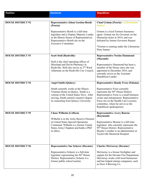| <b>Position</b>          | <b>Democrat</b>                                                                                                                                                                                                                                         | <b>Republican</b>                                                                                                                                                                                                                                                                  |
|--------------------------|---------------------------------------------------------------------------------------------------------------------------------------------------------------------------------------------------------------------------------------------------------|------------------------------------------------------------------------------------------------------------------------------------------------------------------------------------------------------------------------------------------------------------------------------------|
|                          |                                                                                                                                                                                                                                                         |                                                                                                                                                                                                                                                                                    |
| <b>HOUSE DISTRICT 92</b> | <b>Representative Jehan Gordon-Booth</b><br>(Peoria)<br>Representative Booth is a full-time<br>legislator and is Deputy Majority Leader<br>in the Illinois House of Representatives.<br>Representative Booth sits on the<br><b>Executive Committee.</b> | <b>Chad Grimm (Peoria) - (Libertarian</b><br>Party)*<br>Grimm is a local Farmers Insurance<br>agent. Grimm ran for Governor on the<br>libertarian ticket in 2014, and was<br>defeated by former Governor Rauner.<br>*Grimm is running under the Libertarian                        |
| <b>HOUSE DISTRICT 93</b> | <b>Scott Stoll (Rushville)</b>                                                                                                                                                                                                                          | Party banner<br><b>Representative Norine Hammond</b>                                                                                                                                                                                                                               |
|                          | Stoll is the chief operating officer of<br>Moreland and Devitt Pharmacy in<br>Rushville. Stoll also serves as 2 <sup>nd</sup> Ward<br>Alderman on the Rushville City Council.                                                                           | (Macomb)<br>Representative Hammond has been a<br>member of the House since she was<br>appointed in December 2010, and<br>currently serves as the Assistant<br>Republican Leader.                                                                                                   |
| <b>HOUSE DISTRICT 94</b> | <b>Angel Smith (Quincy)</b>                                                                                                                                                                                                                             | <b>Representative Randy Frese (Paloma)</b>                                                                                                                                                                                                                                         |
|                          | Smith currently works at the Illinois<br>Veterans Home in Quincy. Smith is a<br>veteran of the United States Navy. After<br>serving, Smith earned a master's degree<br>in counseling from Quincy University.                                            | Representative Frese currently<br>represents the 94 <sup>th</sup> House District.<br>Representative Frese is a small business<br>owner and entrepreneur. Representative<br>Frese sits on the Health Care Licenses<br>committee, where he serves as the<br>Republican spokesperson. |
| <b>HOUSE DISTRICT 95</b> | <b>Chase Wilhelm (Coffeen)</b>                                                                                                                                                                                                                          | <b>Representative Avery Bourne</b>                                                                                                                                                                                                                                                 |
|                          | Wilhelm is in the Army Reserve Element<br>at United States Special Operations<br>Command. Wilhelm is a former United<br>States Army Chaplain and holds a PhD<br>in ethics.                                                                              | (Raymond)<br>Representative Bourne is a full-time<br>legislator, who currently represents the<br>95 <sup>th</sup> House District. Representative<br>Bourne's mother is an administrator at<br>Taylorville Memorial Hospital.                                                       |
| <b>HOUSE DISTRICT 96</b> | <b>Representative Sue Scherer (Decatur)</b>                                                                                                                                                                                                             | <b>Charles McGorray (Decatur)</b>                                                                                                                                                                                                                                                  |
|                          | Representative Scherer is a full-time<br>legislator representing the 96 <sup>th</sup> House<br>District. Representative Scherer is a<br>former public school teacher.                                                                                   | McGorray is a former firefighter and<br>captain for the Decatur Fire Department.<br>McGorray works with local businesses<br>and has helped startup companies, such<br>as Door 4 Brewing Co.                                                                                        |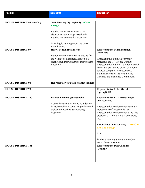| <b>Position</b>                    | <b>Democrat</b>                                                                          | <b>Republican</b>                                                                                                                                                                 |
|------------------------------------|------------------------------------------------------------------------------------------|-----------------------------------------------------------------------------------------------------------------------------------------------------------------------------------|
|                                    |                                                                                          |                                                                                                                                                                                   |
| <b>HOUSE DISTRICT 96 (cont'd.)</b> | John Keating (Springfield) - (Green<br>Party) $*$                                        |                                                                                                                                                                                   |
|                                    |                                                                                          |                                                                                                                                                                                   |
|                                    | Keating is an area manager of an<br>electronics repair shop, iMechanic.                  |                                                                                                                                                                                   |
|                                    | Keating is a community organizer.                                                        |                                                                                                                                                                                   |
|                                    | *Keating is running under the Green<br>Party banner.                                     |                                                                                                                                                                                   |
| <b>HOUSE DISTRICT 97</b>           | <b>Harry Benton (Plainfield)</b>                                                         | <b>Representative Mark Batinick</b><br>(Plainfield)                                                                                                                               |
|                                    | Benton currently serves as a trustee for<br>the Village of Plainfield. Benton is a       | Representative Batinick currently                                                                                                                                                 |
|                                    | journeyman ironworker for Ironworkers<br>Local 444.                                      | represents the 97 <sup>th</sup> House District.<br>Representative Batinick is a commercial<br>real estate broker and owner of a home                                              |
|                                    |                                                                                          | services company. Representative<br>Batinick serves on the Health Care                                                                                                            |
|                                    |                                                                                          | Licenses and Insurance Committees.                                                                                                                                                |
| <b>HOUSE DISTRICT 98</b>           | <b>Representative Natalie Manley (Joliet)</b>                                            |                                                                                                                                                                                   |
| <b>HOUSE DISTRICT 99</b>           |                                                                                          | <b>Representative Mike Murphy</b><br>(Springfield)                                                                                                                                |
| <b>HOUSE DISTRICT 100</b>          | <b>Brandon Adams (Jacksonville)</b>                                                      | <b>Representative C.D. Davidsmeyer</b><br>(Jacksonville)                                                                                                                          |
|                                    | Adams is currently serving as alderman                                                   |                                                                                                                                                                                   |
|                                    | in Jacksonville. Adams is a professional<br>welder and worked as a welding<br>inspector. | Representative Davidsmeyer currently<br>represents 100 <sup>th</sup> House District.<br>Representative Davidsmeyer is the vice<br>president of Illinois Road Contractors,<br>Inc. |
|                                    |                                                                                          | Ralph Sides (Jacksonville) – (Pro-Gun<br><b>Pro-Life Party)*</b>                                                                                                                  |
|                                    |                                                                                          | *TBD                                                                                                                                                                              |
|                                    |                                                                                          | *Sides is running under the Pro-Gun<br>Pro-Life Party banner                                                                                                                      |
| <b>HOUSE DISTRICT 101</b>          |                                                                                          | <b>Representative Dan Caulkins</b><br>(Decatur)                                                                                                                                   |
|                                    |                                                                                          |                                                                                                                                                                                   |
|                                    |                                                                                          |                                                                                                                                                                                   |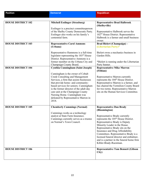| <b>Position</b>                                        | <b>Democrat</b>                                                                                                                                                                                                                                                                                                        | <b>Republican</b>                                                                                                                                                                                                                                                                                                                                                                                                                            |
|--------------------------------------------------------|------------------------------------------------------------------------------------------------------------------------------------------------------------------------------------------------------------------------------------------------------------------------------------------------------------------------|----------------------------------------------------------------------------------------------------------------------------------------------------------------------------------------------------------------------------------------------------------------------------------------------------------------------------------------------------------------------------------------------------------------------------------------------|
| <b>HOUSE DISTRICT 102</b><br><b>HOUSE DISTRICT 103</b> | <b>Mitchell Esslinger (Strasburg)</b><br>Esslinger is a precinct committeeperson<br>of the Shelby County Democratic Party.<br>Esslinger also works on his family's<br>centennial farm.<br><b>Representative Carol Ammons</b><br>(Urbana)                                                                               | <b>Representative Brad Halbrook</b><br>(Shelbyville)<br>Representative Halbrook serves the<br>102 <sup>nd</sup> House District. Representative<br>Halbrook is a farmer and small business<br>owner.<br>Brad Bielert (Champaign) -<br>(Libertarian Party)*                                                                                                                                                                                    |
| <b>HOUSE DISTRICT 104</b>                              | Representative Hammons is a full-time<br>legislator representing the 103rd House<br>District. Representative Ammons is a<br>former member on the Urbana City and<br>Champaign County Board.<br><b>Cynthia Cunningham (Saint Joseph)</b><br>Cunningham is the owner of Cobalt<br><b>Creek Consulting and Management</b> | Bielert owns a mechanics business in<br>Garden Hills.<br>*Bielert is running under the Libertarian<br>Party banner.<br><b>Representative Mike Marron</b><br>(Fithian)<br>Representative Marron currently                                                                                                                                                                                                                                     |
|                                                        | Services, a firm that assists businesses<br>that provide home- and community-<br>based services for seniors. Cunningham<br>is the former director of the adult day<br>care unit at the Champaign County<br>Nursing Home. Cunningham was<br>defeated by Representative Marron in<br>2018.                               | represents the 104 <sup>th</sup> House District.<br>Representative Marron is a farmer, and<br>has chaired the Vermilion County Board<br>for two terms. Representative Marron<br>sits on the Human Services Committee.                                                                                                                                                                                                                        |
| <b>HOUSE DISTRICT 105</b>                              | <b>Chemberly Cummings (Normal)</b><br>Cummings works as a technology<br>analyst at State Farm Insurance.<br>Cummings currently serves as a trustee<br>on Normal's Town Council.                                                                                                                                        | <b>Representative Dan Brady</b><br>(Bloomington)<br>Representative Brady currently<br>represents the 105 <sup>th</sup> House District.<br>Representative Brady is Deputy<br>Minority Leader in the House.<br>Representative Brady sits on the<br>Insurance and Drug Affordability<br>Committees. Representative Brady is a<br>licensed funeral director and embalmer,<br>and is a partner in the funeral home firm<br>Kibler-Brady-Ruestman. |
| <b>HOUSE DISTRICT 106</b>                              |                                                                                                                                                                                                                                                                                                                        | <b>Representative Tom Bennett (Gibson</b><br>City)                                                                                                                                                                                                                                                                                                                                                                                           |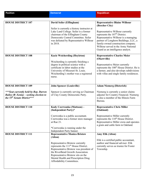| <b>Position</b>                                                                                                          | <b>Democrat</b>                                                                                                                                                                                                                                                                                                                   | <b>Republican</b>                                                                                                                                                                                                                                                                                                                                                                                 |
|--------------------------------------------------------------------------------------------------------------------------|-----------------------------------------------------------------------------------------------------------------------------------------------------------------------------------------------------------------------------------------------------------------------------------------------------------------------------------|---------------------------------------------------------------------------------------------------------------------------------------------------------------------------------------------------------------------------------------------------------------------------------------------------------------------------------------------------------------------------------------------------|
|                                                                                                                          |                                                                                                                                                                                                                                                                                                                                   |                                                                                                                                                                                                                                                                                                                                                                                                   |
| <b>HOUSE DISTRICT 107</b><br><b>HOUSE DISTRICT 108</b>                                                                   | David Seiler (Effingham)<br>Seiler is currently a history instructor at<br>Lake Land College. Seiler is a former<br>chairman of the Effingham County<br>Democratic Central Committee. Seiler<br>was defeated by Representative Wilhour<br>in 2018.<br><b>Kacie Weicherding (Hoyleton)</b><br>Weicherding is currently finishing a | <b>Representative Blaine Wilhour</b><br>(Beecher City)<br>Representative Wilhour currently<br>represents the 107 <sup>th</sup> District.<br>Representative Wilhour is a managing<br>partner of Longhorn Buildings, LLC, a<br>family-owned construction company.<br>Wilhour served in the Army National<br>Guard as an intelligence analyst.<br><b>Representative Charles Meier</b><br>(Okawville) |
|                                                                                                                          | degree in political science with a<br>certificate in labor studies at the<br>University of Missouri-St. Louis.<br>Weicherding's mother was a registered<br>nurse.                                                                                                                                                                 | Representative Meier currently<br>represents the 108 <sup>th</sup> House District. He is<br>a farmer, and also develops subdivisions<br>with villas and single family residences.                                                                                                                                                                                                                 |
| <b>HOUSE DISTRICT 109</b>                                                                                                | <b>John Spencer (Louisville)</b>                                                                                                                                                                                                                                                                                                  | <b>Adam Niemerg (Dieterich)</b>                                                                                                                                                                                                                                                                                                                                                                   |
| *** Seat currently held by Rep. Darren<br>Bailey ( $R$ -Xenia) – seeking election to<br>the $55^{th}$ Senate District*** | Spencer is currently serving as Chairman<br>of Clay County Democratic Party.                                                                                                                                                                                                                                                      | Niemerg is currently a senior claims<br>adjuster for Country Financial. Niemerg<br>is also a member of the Illinois Farm<br>Bureau.                                                                                                                                                                                                                                                               |
| <b>HOUSE DISTRICT 110</b>                                                                                                | Kody Czerwonka (Mattoon) –<br>(Independent Party)*                                                                                                                                                                                                                                                                                | <b>Representative Chris Miller</b><br>(Oakland)                                                                                                                                                                                                                                                                                                                                                   |
|                                                                                                                          | Czerwonka is a public accountant.<br>Czerwonka was a former store manager<br>at Rue 21.<br>*Czerwonka is running under the<br>Independent Party banner.                                                                                                                                                                           | Representative Miller currently<br>represents the 110 <sup>th</sup> House District.<br>Representative Miller owns and operates<br>a grain and cattle farm in Oakland.                                                                                                                                                                                                                             |
| <b>HOUSE DISTRICT 111</b>                                                                                                | <b>Representative Monica Bristow</b><br>(Alton)                                                                                                                                                                                                                                                                                   | <b>Amy Elik (Alton)</b>                                                                                                                                                                                                                                                                                                                                                                           |
|                                                                                                                          | Representative Bristow currently<br>represents the 111 <sup>th</sup> House District.<br>Representative Bristow was president of<br>the RiverBend Growth Association.<br>Representative Bristow sits on the<br>Mental Health and Prescription Drug<br>Affordability Committees.                                                    | Elik is a certified public accountant,<br>auditor and financial advisor. Elik<br>currently serves as trustee for Foster<br>Township.                                                                                                                                                                                                                                                              |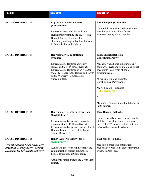| <b>Position</b>                                                                                                                                                      | <b>Democrat</b>                                                                                                                                                                                                                                                               | <b>Republican</b>                                                                                                                                                                                                                                                                                                                                                                          |
|----------------------------------------------------------------------------------------------------------------------------------------------------------------------|-------------------------------------------------------------------------------------------------------------------------------------------------------------------------------------------------------------------------------------------------------------------------------|--------------------------------------------------------------------------------------------------------------------------------------------------------------------------------------------------------------------------------------------------------------------------------------------------------------------------------------------------------------------------------------------|
| <b>HOUSE DISTRICT 112</b>                                                                                                                                            | <b>Representative Katie Stuart</b><br>(Edwardsville)<br>Representative Stuart is a full-time<br>legislator representing the $112th$ House<br>District. She is a former public<br>elementary and high school math teacher<br>in Edwardsville and Highland.                     | Lisa Ciampoli (Collinsville)<br>Ciampoli is a certified registered nurse<br>anesthetist. Ciampoli is a former<br>Madison County Board member.                                                                                                                                                                                                                                              |
| <b>HOUSE DISTRICT 113</b>                                                                                                                                            | <b>Representative Jay Hoffman</b><br>(Swansea)<br>Representative Hoffman currently<br>represents the 113 <sup>th</sup> House District.<br>Representative Hoffman is an Assistant<br>Majority Leader in the House, and serves<br>on the Workers' Compensation<br>Subcommittee. | Ryan Musick (Belleville) -<br><b>Constitution Party*</b><br>Musick owns a home structure repair<br>company, FiveStone Foundations, which<br>specializes in all types of home<br>structural repair.<br>*Musick is running under the<br>Constitutional Party banner.<br>Mark Elmore (Swansea) -<br>(Libertarian Party)*<br>*TBD<br>*Elmore is running under the Libertarian<br>Party banner. |
| <b>HOUSE DISTRICT 114</b>                                                                                                                                            | <b>Representative LaToya Greenwood</b><br>(East St. Louis)<br>Representative Greenwood currently<br>represents the 114 <sup>th</sup> House District.<br>Representative Greenwood is Director of<br>Human Resources for East St. Louis<br>School District 189.                 | <b>Dave Barnes (Belleville)</b><br>Barnes currently serves as supervisor for<br>St. Clair Township. Barnes previously<br>ran for the $57th$ Senate District, but was<br>defeated by Senator Clayborne.                                                                                                                                                                                     |
| <b>HOUSE DISTRICT 115</b><br>*** Seat currently held by Rep. Terri<br><b>Bryant (R-Murphysboro)</b> – seeking<br>election to the 58 <sup>th</sup> Senate District*** | Randy Auxier (Murphysboro) -<br>(Green Party)*<br>Auxier is a professor of philosophy and<br>communication studies at Southern<br>Illinois University at Carbondale.<br>*Auxier is running under the Green Party<br>banner.                                                   | <b>Paul Jacobs (Pomona)</b><br>Jacobs is a practicing optometrist.<br>Jacobs also owns Von Jakob Vineyard, a<br>winery in Alto Pass.                                                                                                                                                                                                                                                       |